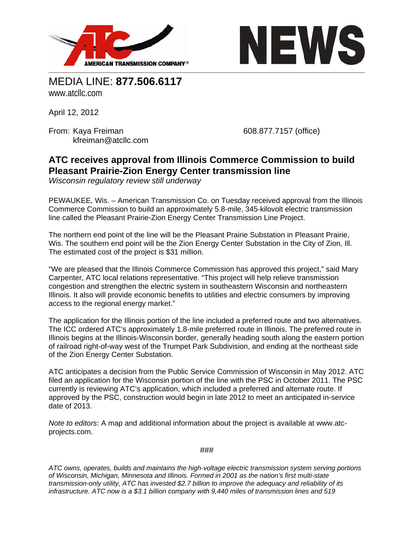



MEDIA LINE: **877.506.6117**  www.atcllc.com

April 12, 2012

From: Kaya Freiman 608.877.7157 (office) kfreiman@atcllc.com

## **ATC receives approval from Illinois Commerce Commission to build Pleasant Prairie-Zion Energy Center transmission line**

*Wisconsin regulatory review still underway* 

PEWAUKEE, Wis. – American Transmission Co. on Tuesday received approval from the Illinois Commerce Commission to build an approximately 5.8-mile, 345-kilovolt electric transmission line called the Pleasant Prairie-Zion Energy Center Transmission Line Project.

The northern end point of the line will be the Pleasant Prairie Substation in Pleasant Prairie, Wis. The southern end point will be the Zion Energy Center Substation in the City of Zion, Ill. The estimated cost of the project is \$31 million.

"We are pleased that the Illinois Commerce Commission has approved this project," said Mary Carpenter, ATC local relations representative. "This project will help relieve transmission congestion and strengthen the electric system in southeastern Wisconsin and northeastern Illinois. It also will provide economic benefits to utilities and electric consumers by improving access to the regional energy market."

The application for the Illinois portion of the line included a preferred route and two alternatives. The ICC ordered ATC's approximately 1.8-mile preferred route in Illinois. The preferred route in Illinois begins at the Illinois-Wisconsin border, generally heading south along the eastern portion of railroad right-of-way west of the Trumpet Park Subdivision, and ending at the northeast side of the Zion Energy Center Substation.

ATC anticipates a decision from the Public Service Commission of Wisconsin in May 2012. ATC filed an application for the Wisconsin portion of the line with the PSC in October 2011. The PSC currently is reviewing ATC's application, which included a preferred and alternate route. If approved by the PSC, construction would begin in late 2012 to meet an anticipated in-service date of 2013.

*Note to editors*: A map and additional information about the project is available at www.atcprojects.com.

###

*ATC owns, operates, builds and maintains the high-voltage electric transmission system serving portions of Wisconsin, Michigan, Minnesota and Illinois. Formed in 2001 as the nation's first multi-state transmission-only utility, ATC has invested \$2.7 billion to improve the adequacy and reliability of its infrastructure. ATC now is a \$3.1 billion company with 9,440 miles of transmission lines and 519*